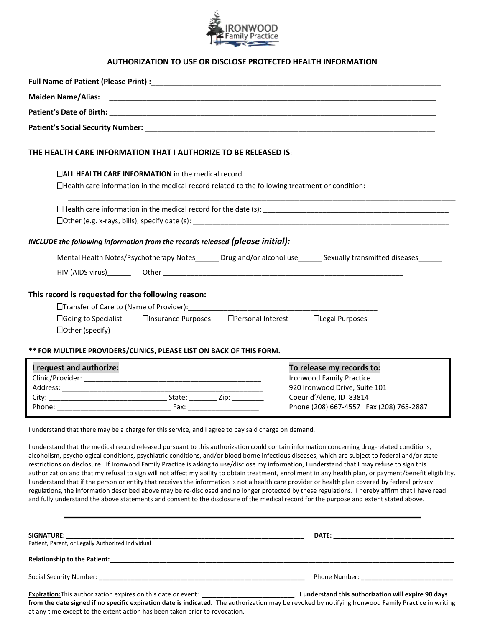

## **AUTHORIZATION TO USE OR DISCLOSE PROTECTED HEALTH INFORMATION**

| THE HEALTH CARE INFORMATION THAT I AUTHORIZE TO BE RELEASED IS:                                                                                                                                                                                                                                                                                                                                                                                                                                                                                                                                                                                                                                                                                                                                                                                                                                                                                                                                                                                            |                                                                                                                                                                     |  |  |  |  |
|------------------------------------------------------------------------------------------------------------------------------------------------------------------------------------------------------------------------------------------------------------------------------------------------------------------------------------------------------------------------------------------------------------------------------------------------------------------------------------------------------------------------------------------------------------------------------------------------------------------------------------------------------------------------------------------------------------------------------------------------------------------------------------------------------------------------------------------------------------------------------------------------------------------------------------------------------------------------------------------------------------------------------------------------------------|---------------------------------------------------------------------------------------------------------------------------------------------------------------------|--|--|--|--|
| $\Box$ ALL HEALTH CARE INFORMATION in the medical record<br>$\Box$ Health care information in the medical record related to the following treatment or condition:                                                                                                                                                                                                                                                                                                                                                                                                                                                                                                                                                                                                                                                                                                                                                                                                                                                                                          |                                                                                                                                                                     |  |  |  |  |
|                                                                                                                                                                                                                                                                                                                                                                                                                                                                                                                                                                                                                                                                                                                                                                                                                                                                                                                                                                                                                                                            |                                                                                                                                                                     |  |  |  |  |
| INCLUDE the following information from the records released (please initial):                                                                                                                                                                                                                                                                                                                                                                                                                                                                                                                                                                                                                                                                                                                                                                                                                                                                                                                                                                              |                                                                                                                                                                     |  |  |  |  |
| Mental Health Notes/Psychotherapy Notes______ Drug and/or alcohol use______ Sexually transmitted diseases_____                                                                                                                                                                                                                                                                                                                                                                                                                                                                                                                                                                                                                                                                                                                                                                                                                                                                                                                                             |                                                                                                                                                                     |  |  |  |  |
| This record is requested for the following reason:<br>□Transfer of Care to (Name of Provider): _______________<br>□Going to Specialist □Insurance Purposes □Personal Interest □Legal Purposes                                                                                                                                                                                                                                                                                                                                                                                                                                                                                                                                                                                                                                                                                                                                                                                                                                                              |                                                                                                                                                                     |  |  |  |  |
| ** FOR MULTIPLE PROVIDERS/CLINICS, PLEASE LIST ON BACK OF THIS FORM.<br>I request and authorize:<br>Phone: Fax: Fax:                                                                                                                                                                                                                                                                                                                                                                                                                                                                                                                                                                                                                                                                                                                                                                                                                                                                                                                                       | To release my records to:<br><b>Ironwood Family Practice</b><br>920 Ironwood Drive, Suite 101<br>Coeur d'Alene, ID 83814<br>Phone (208) 667-4557 Fax (208) 765-2887 |  |  |  |  |
| I understand that there may be a charge for this service, and I agree to pay said charge on demand.                                                                                                                                                                                                                                                                                                                                                                                                                                                                                                                                                                                                                                                                                                                                                                                                                                                                                                                                                        |                                                                                                                                                                     |  |  |  |  |
| I understand that the medical record released pursuant to this authorization could contain information concerning drug-related conditions,<br>alcoholism, psychological conditions, psychiatric conditions, and/or blood borne infectious diseases, which are subject to federal and/or state<br>restrictions on disclosure. If Ironwood Family Practice is asking to use/disclose my information, I understand that I may refuse to sign this<br>authorization and that my refusal to sign will not affect my ability to obtain treatment, enrollment in any health plan, or payment/benefit eligibility.<br>I understand that if the person or entity that receives the information is not a health care provider or health plan covered by federal privacy<br>regulations, the information described above may be re-disclosed and no longer protected by these regulations. I hereby affirm that I have read<br>and fully understand the above statements and consent to the disclosure of the medical record for the purpose and extent stated above. |                                                                                                                                                                     |  |  |  |  |
|                                                                                                                                                                                                                                                                                                                                                                                                                                                                                                                                                                                                                                                                                                                                                                                                                                                                                                                                                                                                                                                            |                                                                                                                                                                     |  |  |  |  |
|                                                                                                                                                                                                                                                                                                                                                                                                                                                                                                                                                                                                                                                                                                                                                                                                                                                                                                                                                                                                                                                            |                                                                                                                                                                     |  |  |  |  |
|                                                                                                                                                                                                                                                                                                                                                                                                                                                                                                                                                                                                                                                                                                                                                                                                                                                                                                                                                                                                                                                            |                                                                                                                                                                     |  |  |  |  |
|                                                                                                                                                                                                                                                                                                                                                                                                                                                                                                                                                                                                                                                                                                                                                                                                                                                                                                                                                                                                                                                            |                                                                                                                                                                     |  |  |  |  |

**from the date signed if no specific expiration date is indicated.** The authorization may be revoked by notifying Ironwood Family Practice in writing at any time except to the extent action has been taken prior to revocation.